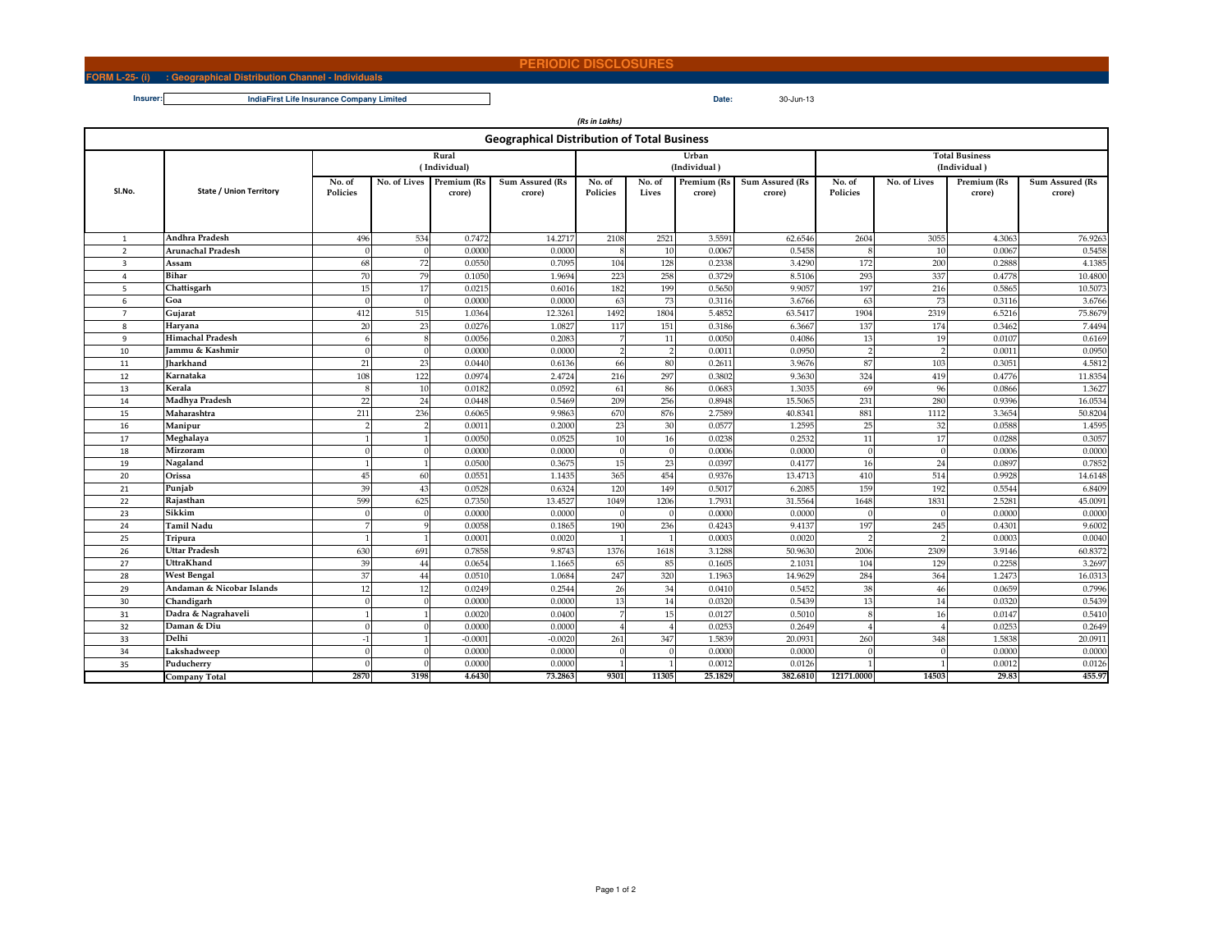## **PERIODIC DISCLOSURES**

*(Rs in Lakhs)*

## **FORM L-25- (i) : Geographical Distribution Channel - IndividualsInsurer:**

| <b>Geographical Distribution of Total Business</b> |                                |                       |      |                                    |                           |                    |                 |                       |                           |                                       |              |                       |                           |
|----------------------------------------------------|--------------------------------|-----------------------|------|------------------------------------|---------------------------|--------------------|-----------------|-----------------------|---------------------------|---------------------------------------|--------------|-----------------------|---------------------------|
|                                                    | <b>State / Union Territory</b> | Rural<br>(Individual) |      |                                    |                           |                    |                 | Urban<br>(Individual) |                           | <b>Total Business</b><br>(Individual) |              |                       |                           |
| SI.No.                                             |                                | No. of<br>Policies    |      | No. of Lives Premium (Rs<br>crore) | Sum Assured (Rs<br>crore) | No. of<br>Policies | No. of<br>Lives | Premium (Rs<br>crore) | Sum Assured (Rs<br>crore) | No. of<br>Policies                    | No. of Lives | Premium (Rs<br>crore) | Sum Assured (Rs<br>crore) |
| $\overline{1}$                                     | Andhra Pradesh                 | 496                   | 534  | 0.7472                             | 14.2717                   | 2108               | 2521            | 3.5591                | 62.6546                   | 2604                                  | 3055         | 4.306                 | 76.9263                   |
| $\overline{2}$                                     | Arunachal Pradesh              | $\Omega$              |      | 0.0000                             | 0.0000                    |                    | 10              | 0.0067                | 0.5458                    |                                       | 10           | 0.0067                | 0.5458                    |
| $\overline{3}$                                     | Assam                          | 68                    | 72   | 0.0550                             | 0.7095                    | 104                | 128             | 0.2338                | 3.4290                    | 172                                   | 200          | 0.2888                | 4.1385                    |
| $\overline{4}$                                     | Bihar                          | 70                    | 79   | 0.1050                             | 1.9694                    | 223                | 258             | 0.3729                | 8.5106                    | 293                                   | 337          | 0.4778                | 10.4800                   |
| 5                                                  | Chattisgarh                    | 15                    | 17   | 0.0215                             | 0.6016                    | 182                | 199             | 0.5650                | 9.9057                    | 197                                   | 216          | 0.5865                | 10.5073                   |
| 6                                                  | Goa                            | $\Omega$              |      | 0.0000                             | 0.0000                    | 63                 | 73              | 0.3116                | 3.6766                    | 63                                    | 73           | 0.3116                | 3.6766                    |
| $\overline{7}$                                     | Gujarat                        | 412                   | 515  | 1.0364                             | 12.3261                   | 1492               | 1804            | 5.4852                | 63.5417                   | 1904                                  | 2319         | 6.5216                | 75.8679                   |
| 8                                                  | Haryana                        | 20                    | 23   | 0.0276                             | 1.0827                    | 117                | 151             | 0.3186                | 6.3667                    | 137                                   | 174          | 0.3462                | 7.4494                    |
| $\mathbf{q}$                                       | <b>Himachal Pradesh</b>        |                       |      | 0.0056                             | 0.2083                    |                    | 11              | 0.0050                | 0.4086                    | 13                                    | 19           | 0.0107                | 0.6169                    |
| 10                                                 | Iammu & Kashmir                | $\Omega$              |      | 0.0000                             | 0.0000                    |                    |                 | 0.0011                | 0.0950                    |                                       |              | 0.0011                | 0.0950                    |
| 11                                                 | Jharkhand                      | 21                    | 23   | 0.0440                             | 0.6136                    | 66                 | 80              | 0.2611                | 3.9676                    | 87                                    | 103          | 0.3051                | 4.5812                    |
| 12                                                 | Karnataka                      | 108                   | 122  | 0.0974                             | 2.4724                    | 216                | 297             | 0.3802                | 9.3630                    | 324                                   | 419          | 0.4776                | 11.8354                   |
| 13                                                 | Kerala                         | $\mathbf{R}$          | 10   | 0.0182                             | 0.0592                    | 61                 | 86              | 0.0683                | 1.3035                    | 69                                    | 96           | 0.0866                | 1.3627                    |
| 14                                                 | Madhya Pradesh                 | 22                    | 24   | 0.0448                             | 0.5469                    | 209                | 256             | 0.8948                | 15.5065                   | 231                                   | 280          | 0.9396                | 16.0534                   |
| 15                                                 | Maharashtra                    | 211                   | 236  | 0.6065                             | 9.9863                    | 670                | 876             | 2.7589                | 40.8341                   | 881                                   | 1112         | 3.3654                | 50.8204                   |
| 16                                                 | Manipur                        |                       |      | 0.0011                             | 0.2000                    | 23                 | 30              | 0.0577                | 1.2595                    | 25                                    | 32           | 0.0588                | 1.4595                    |
| 17                                                 | Meghalaya                      |                       |      | 0.0050                             | 0.0525                    | 10                 | 16              | 0.0238                | 0.2532                    | 11                                    | 17           | 0.0288                | 0.3057                    |
| 18                                                 | Mirzoram                       | $\Omega$              |      | 0.0000                             | 0.0000                    | $\Omega$           |                 | 0.0006                | 0.0000                    | $\sqrt{ }$                            | $\Omega$     | 0.0006                | 0.0000                    |
| 19                                                 | Nagaland                       |                       |      | 0.050(                             | 0.3675                    | 15                 | 23              | 0.0397                | 0.4177                    | 16                                    | 24           | 0.0897                | 0.7852                    |
| 20                                                 | Orissa                         | 45                    | 60   | 0.0551                             | 1.1435                    | 365                | 454             | 0.9376                | 13.4713                   | 410                                   | 514          | 0.9928                | 14.6148                   |
| 21                                                 | Punjab                         | 39                    | 43   | 0.0528                             | 0.6324                    | 120                | 149             | 0.5017                | 6.2085                    | 159                                   | 192          | 0.5544                | 6.8409                    |
| 22                                                 | Rajasthan                      | 599                   | 625  | 0.7350                             | 13.4527                   | 1049               | 1206            | 1.7931                | 31.5564                   | 1648                                  | 1831         | 2.5281                | 45.0091                   |
| 23                                                 | Sikkim                         |                       |      | 0.0000                             | 0.0000                    |                    |                 | 0.0000                | 0.0000                    |                                       |              | 0.0000                | 0.0000                    |
| 24                                                 | Tamil Nadu                     |                       |      | 0.0058                             | 0.1865                    | 190                | 236             | 0.4243                | 9.4137                    | 197                                   | 245          | 0.4301                | 9.6002                    |
| 25                                                 | Tripura                        |                       |      | 0.0001                             | 0.0020                    |                    |                 | 0.0003                | 0.0020                    |                                       |              | 0.0003                | 0.0040                    |
| 26                                                 | Uttar Pradesh                  | 630                   | 691  | 0.7858                             | 9.8743                    | 1376               | 1618            | 3.1288                | 50.9630                   | 2006                                  | 2309         | 3.9146                | 60.8372                   |
| 27                                                 | UttraKhand                     | 39                    | 44   | 0.0654                             | 1.1665                    | 65                 | 85              | 0.1605                | 2.1031                    | 104                                   | 129          | 0.2258                | 3.2697                    |
| 28                                                 | <b>West Bengal</b>             | 37                    | 44   | 0.051(                             | 1.0684                    | 247                | 320             | 1.1963                | 14.9629                   | 284                                   | 364          | 1.2473                | 16.0313                   |
| 29                                                 | Andaman & Nicobar Islands      | 12                    | 12   | 0.0249                             | 0.2544                    | 26                 | 34              | 0.0410                | 0.5452                    | 38                                    | 46           | 0.0659                | 0.7996                    |
| 30                                                 | Chandigarh                     |                       |      | 0.0000                             | 0.0000                    | 13                 | 14              | 0.0320                | 0.5439                    | 13                                    | 14           | 0.0320                | 0.5439                    |
| 31                                                 | Dadra & Nagrahaveli            |                       |      | 0.0020                             | 0.0400                    |                    | 15              | 0.0127                | 0.5010                    |                                       | 16           | 0.0147                | 0.5410                    |
| 32                                                 | Daman & Diu                    |                       |      | 0.000                              | 0.0000                    |                    |                 | 0.0253                | 0.2649                    |                                       |              | 0.0253                | 0.2649                    |
| 33                                                 | Delhi                          |                       |      | $-0.000$                           | $-0.0020$                 | 261                | 347             | 1.5839                | 20.0931                   | 260                                   | 348          | 1.5838                | 20.0911                   |
| 34                                                 | Lakshadweep                    | $\Omega$              |      | 0.0000                             | 0.0000                    |                    |                 | 0.0000                | 0.0000                    |                                       |              | 0.0000                | 0.0000                    |
| 35                                                 | Puducherry                     |                       |      | 0.0000                             | 0.0000                    |                    |                 | 0.0012                | 0.0126                    |                                       |              | 0.0012                | 0.0126                    |
|                                                    | Company Total                  | 2870                  | 3198 | 4.6430                             | 73.2863                   | 9301               | 11305           | 25.1829               | 382.6810                  | 12171.0000                            | 14503        | 29.83                 | 455.97                    |
|                                                    |                                |                       |      |                                    |                           |                    |                 |                       |                           |                                       |              |                       |                           |

**Date:IndiaFirst Life Insurance Company Limited**

**Date:** 30-Jun-13